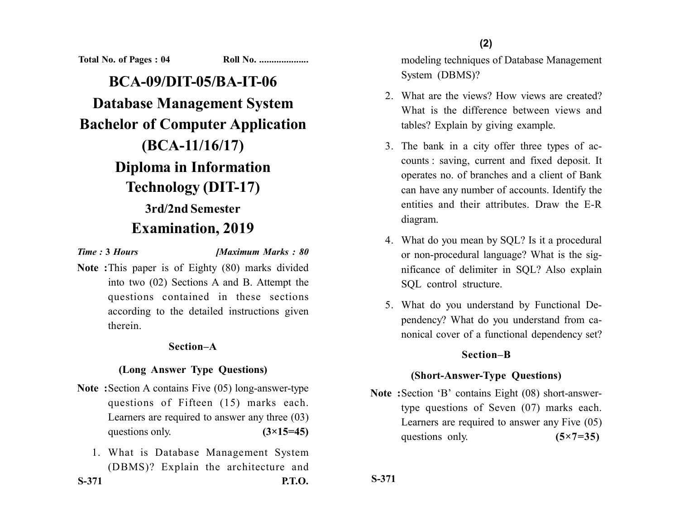**Total No. of Pages : 04 Roll No. ...................** 

**BCA-09/DIT-05/BA-IT-06 Database Management System Bachelor of Computer Application (BCA-11/16/17) Diploma in Information Technology (DIT-17) 3rd/2nd Semester Examination, 2019**

*Time :* **3** *Hours [Maximum Marks : 80*

**Note :**This paper is of Eighty (80) marks divided into two (02) Sections A and B. Attempt the questions contained in these sections according to the detailed instructions given therein.

## **Section–A**

#### **(Long Answer Type Questions)**

- **Note :**Section A contains Five (05) long-answer-type questions of Fifteen (15) marks each. Learners are required to answer any three (03) questions only.  $(3\times15=45)$
- 1. What is Database Management System (DBMS)? Explain the architecture and **S-371 P.T.O.**

**(2)**

modeling techniques of Database Management System (DBMS)?

- 2. What are the views? How views are created? What is the difference between views and tables? Explain by giving example.
- 3. The bank in a city offer three types of accounts : saving, current and fixed deposit. It operates no. of branches and a client of Bank can have any number of accounts. Identify the entities and their attributes. Draw the E-R diagram.
- 4. What do you mean by SQL? Is it a procedural or non-procedural language? What is the significance of delimiter in SQL? Also explain SQL control structure.
- 5. What do you understand by Functional Dependency? What do you understand from canonical cover of a functional dependency set?

## **Section–B**

## **(Short-Answer-Type Questions)**

**Note :**Section 'B' contains Eight (08) short-answertype questions of Seven (07) marks each. Learners are required to answer any Five (05) questions only. **(5×7=35)** 

**S-371**